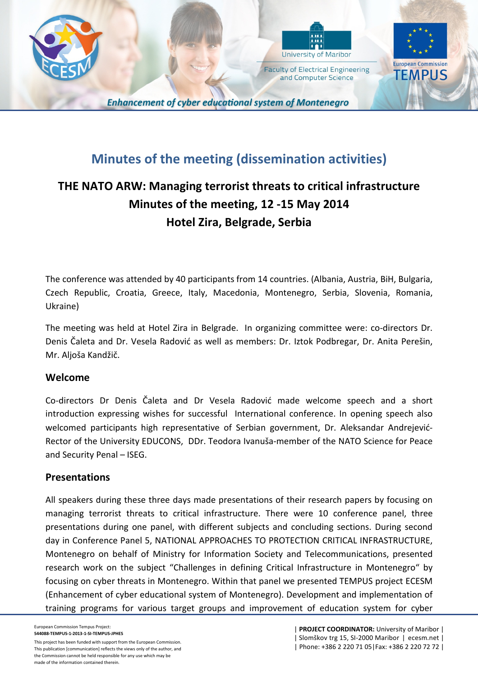

# **Minutes of the meeting (dissemination activities)**

# **THE NATO ARW: Managing terrorist threats to critical infrastructure Minutes of the meeting, 12 -15 May 2014 Hotel Zira, Belgrade, Serbia**

The conference was attended by 40 participants from 14 countries. (Albania, Austria, BiH, Bulgaria, Czech Republic, Croatia, Greece, Italy, Macedonia, Montenegro, Serbia, Slovenia, Romania, Ukraine)

The meeting was held at Hotel Zira in Belgrade. In organizing committee were: co-directors Dr. Denis Čaleta and Dr. Vesela Radović as well as members: Dr. Iztok Podbregar, Dr. Anita Perešin, Mr. Aljoša Kandžič.

#### **Welcome**

Co-directors Dr Denis Čaleta and Dr Vesela Radović made welcome speech and a short introduction expressing wishes for successful International conference. In opening speech also welcomed participants high representative of Serbian government, Dr. Aleksandar Andrejević-Rector of the University EDUCONS, DDr. Teodora Ivanuša-member of the NATO Science for Peace and Security Penal – ISEG.

# **Presentations**

All speakers during these three days made presentations of their research papers by focusing on managing terrorist threats to critical infrastructure. There were 10 conference panel, three presentations during one panel, with different subjects and concluding sections. During second day in Conference Panel 5, NATIONAL APPROACHES TO PROTECTION CRITICAL INFRASTRUCTURE, Montenegro on behalf of Ministry for Information Society and Telecommunications, presented research work on the subject "Challenges in defining Critical Infrastructure in Montenegro" by focusing on cyber threats in Montenegro. Within that panel we presented TEMPUS project ECESM (Enhancement of cyber educational system of Montenegro). Development and implementation of training programs for various target groups and improvement of education system for cyber